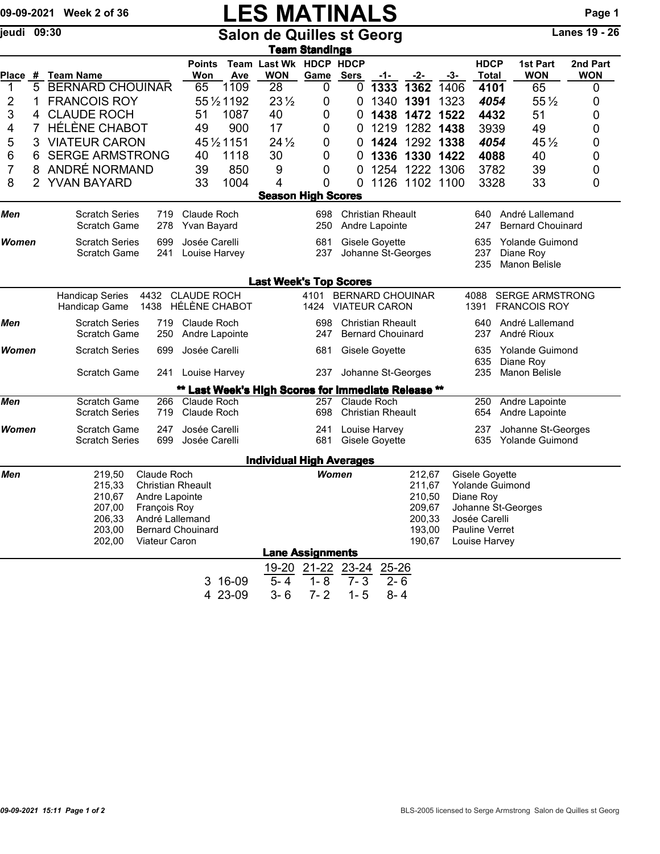|              |   | 09-09-2021 Week 2 of 36                                                                                                                                                                                         |                                              |                                     |             | <b>LES MATINALS</b>                              |                                                                             |                                      |                                                      |                         |               |                                                                           |                                                                                                                                 | Page 1          |  |  |
|--------------|---|-----------------------------------------------------------------------------------------------------------------------------------------------------------------------------------------------------------------|----------------------------------------------|-------------------------------------|-------------|--------------------------------------------------|-----------------------------------------------------------------------------|--------------------------------------|------------------------------------------------------|-------------------------|---------------|---------------------------------------------------------------------------|---------------------------------------------------------------------------------------------------------------------------------|-----------------|--|--|
| jeudi 09:30  |   | <b>Salon de Quilles st Georg</b><br><b>Team Standings</b>                                                                                                                                                       |                                              |                                     |             |                                                  |                                                                             |                                      |                                                      |                         |               |                                                                           | Lanes $19 - 26$                                                                                                                 |                 |  |  |
|              |   |                                                                                                                                                                                                                 |                                              | <b>Points</b>                       |             | Team Last Wk HDCP HDCP                           |                                                                             |                                      |                                                      |                         |               | <b>HDCP</b>                                                               | 1st Part                                                                                                                        | 2nd Part        |  |  |
| 1            | 5 | Place # Team Name<br><b>BERNARD CHOUINAR</b>                                                                                                                                                                    |                                              | Won<br>65                           | Ave<br>1109 | <b>WON</b><br>28                                 | Game<br>0                                                                   | <b>Sers</b><br>0                     | <u>-1-</u><br>1333                                   | -2-<br>1362             | $-3-$<br>1406 | <b>Total</b><br>4101                                                      | <b>WON</b><br>65                                                                                                                | <b>WON</b><br>0 |  |  |
| 2            | 1 | <b>FRANCOIS ROY</b>                                                                                                                                                                                             |                                              |                                     | 55 1/2 1192 | $23\frac{1}{2}$                                  | 0                                                                           | 0                                    | 1340                                                 | 1391                    | 1323          | 4054                                                                      | $55\%$                                                                                                                          | 0               |  |  |
| 3            | 4 | <b>CLAUDE ROCH</b>                                                                                                                                                                                              |                                              | 51                                  | 1087        | 40                                               | 0                                                                           | 0                                    | 1438                                                 | 1472                    | 1522          | 4432                                                                      | 51                                                                                                                              | 0               |  |  |
| 4            | 7 | <b>HÉLÈNE CHABOT</b>                                                                                                                                                                                            |                                              | 49                                  | 900         | 17                                               | 0                                                                           | 0                                    | 1219                                                 | 1282                    | 1438          | 3939                                                                      | 49                                                                                                                              | 0               |  |  |
| 5            | 3 | <b>VIATEUR CARON</b>                                                                                                                                                                                            |                                              |                                     | 45 1/2 1151 | $24\frac{1}{2}$                                  | 0                                                                           | 0                                    | 1424                                                 |                         | 1292 1338     | 4054                                                                      | $45\frac{1}{2}$                                                                                                                 | 0               |  |  |
| 6            | 6 | <b>SERGE ARMSTRONG</b>                                                                                                                                                                                          |                                              | 40                                  | 1118        | 30                                               | 0                                                                           | 0                                    | 1336                                                 |                         | 1330 1422     | 4088                                                                      | 40                                                                                                                              | 0               |  |  |
| 7            | 8 | ANDRÉ NORMAND                                                                                                                                                                                                   |                                              | 39                                  | 850         | 9                                                | 0                                                                           | 0                                    | 1254                                                 | 1222 1306               |               | 3782                                                                      | 39                                                                                                                              | 0               |  |  |
| 8            |   | 2 YVAN BAYARD                                                                                                                                                                                                   |                                              | 33                                  | 1004        | 4                                                | 0                                                                           | $\Omega$                             |                                                      | 1126 1102 1100          |               | 3328                                                                      | 33                                                                                                                              | 0               |  |  |
|              |   |                                                                                                                                                                                                                 |                                              |                                     |             | <b>Season High Scores</b>                        |                                                                             |                                      |                                                      |                         |               |                                                                           |                                                                                                                                 |                 |  |  |
| Men          |   | <b>Scratch Series</b><br><b>Scratch Game</b>                                                                                                                                                                    | 719<br>278                                   | Claude Roch<br>Yvan Bayard          |             |                                                  | 698<br>250                                                                  |                                      | <b>Christian Rheault</b><br>Andre Lapointe           |                         |               | 640<br>247                                                                | André Lallemand<br><b>Bernard Chouinard</b>                                                                                     |                 |  |  |
| <b>Women</b> |   | <b>Scratch Series</b><br>Scratch Game                                                                                                                                                                           | Josée Carelli<br>699<br>241<br>Louise Harvey |                                     |             |                                                  | 681<br>237                                                                  | Gisele Goyette<br>Johanne St-Georges |                                                      |                         |               | 635<br>Yolande Guimond<br>237<br>Diane Roy<br>235<br><b>Manon Belisle</b> |                                                                                                                                 |                 |  |  |
|              |   |                                                                                                                                                                                                                 |                                              |                                     |             | <b>Last Week's Top Scores</b>                    |                                                                             |                                      |                                                      |                         |               |                                                                           |                                                                                                                                 |                 |  |  |
|              |   | <b>Handicap Series</b><br>Handicap Game                                                                                                                                                                         | 4432<br>1438                                 | <b>CLAUDE ROCH</b><br>HÉLÈNE CHABOT |             |                                                  | 4101<br>1424                                                                | <b>VIATEUR CARON</b>                 |                                                      | <b>BERNARD CHOUINAR</b> |               | 4088<br>1391                                                              | <b>SERGE ARMSTRONG</b><br><b>FRANCOIS ROY</b>                                                                                   |                 |  |  |
| Men          |   | <b>Scratch Series</b><br><b>Scratch Game</b>                                                                                                                                                                    | 719<br>250                                   | Claude Roch<br>Andre Lapointe       |             |                                                  | 698<br>247                                                                  |                                      | <b>Christian Rheault</b><br><b>Bernard Chouinard</b> |                         |               | 640<br>237                                                                | André Lallemand<br>André Rioux                                                                                                  |                 |  |  |
| Women        |   | <b>Scratch Series</b>                                                                                                                                                                                           |                                              | Josée Carelli<br>699                |             |                                                  | 681                                                                         |                                      |                                                      | Gisele Goyette          |               |                                                                           | <b>Yolande Guimond</b><br>635<br>635<br>Diane Roy                                                                               |                 |  |  |
|              |   | <b>Scratch Game</b>                                                                                                                                                                                             |                                              | Louise Harvey<br>241                |             |                                                  | 237                                                                         | Johanne St-Georges                   |                                                      |                         |               | 235                                                                       | Manon Belisle                                                                                                                   |                 |  |  |
|              |   |                                                                                                                                                                                                                 |                                              |                                     |             | Last Week's High Scores for Immediate Release ** |                                                                             |                                      |                                                      |                         |               |                                                                           |                                                                                                                                 |                 |  |  |
| Men          |   | Scratch Game<br><b>Scratch Series</b>                                                                                                                                                                           | 266<br>719                                   | Claude Roch<br>Claude Roch          |             |                                                  | 257<br>698                                                                  |                                      | Claude Roch<br><b>Christian Rheault</b>              |                         |               | 250<br>654                                                                | Andre Lapointe<br>Andre Lapointe                                                                                                |                 |  |  |
| <b>Women</b> |   | <b>Scratch Game</b><br><b>Scratch Series</b>                                                                                                                                                                    | 247<br>699                                   | Josée Carelli<br>Josée Carelli      |             |                                                  | 241<br>681                                                                  |                                      | Louise Harvey<br>Gisele Goyette                      |                         |               | 237<br>635                                                                | Johanne St-Georges<br>Yolande Guimond                                                                                           |                 |  |  |
|              |   |                                                                                                                                                                                                                 |                                              |                                     |             | <b>Individual High Averages</b>                  |                                                                             |                                      |                                                      |                         |               |                                                                           |                                                                                                                                 |                 |  |  |
| Men          |   | Claude Roch<br>219,50<br>215,33<br><b>Christian Rheault</b><br>210,67<br>Andre Lapointe<br>François Roy<br>207,00<br>206,33<br>André Lallemand<br><b>Bernard Chouinard</b><br>203,00<br>202,00<br>Viateur Caron |                                              |                                     |             |                                                  | 212,67<br>Women<br>211,67<br>210,50<br>209,67<br>200,33<br>193,00<br>190,67 |                                      |                                                      |                         |               |                                                                           | Gisele Goyette<br><b>Yolande Guimond</b><br>Diane Roy<br>Johanne St-Georges<br>Josée Carelli<br>Pauline Verret<br>Louise Harvey |                 |  |  |
|              |   |                                                                                                                                                                                                                 |                                              |                                     |             |                                                  | <b>Lane Assignments</b>                                                     |                                      |                                                      |                         |               |                                                                           |                                                                                                                                 |                 |  |  |
|              |   |                                                                                                                                                                                                                 |                                              |                                     |             | $19 - 20$                                        | 21-22 23-24                                                                 |                                      | $25 - 26$                                            |                         |               |                                                                           |                                                                                                                                 |                 |  |  |
|              |   |                                                                                                                                                                                                                 |                                              |                                     | 3 16-09     | $5 - 4$                                          | $1 - 8$                                                                     | $7 - 3$                              | $2 - 6$                                              |                         |               |                                                                           |                                                                                                                                 |                 |  |  |
|              |   |                                                                                                                                                                                                                 |                                              |                                     | 4 23-09     | $3 - 6$                                          | $7 - 2$                                                                     | $1 - 5$                              | $8 - 4$                                              |                         |               |                                                                           |                                                                                                                                 |                 |  |  |